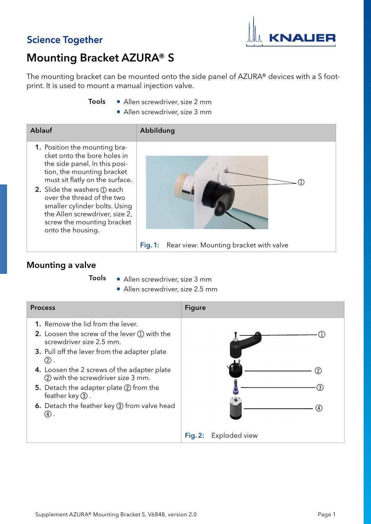## **Science Together**



## Mounting Bracket AZURA® S

The mounting bracket can be mounted onto the side panel of AZURA® devices with a S footprint. It is used to mount a manual injection valve.

- Allen screwdriver, size 2 mm Tools
	- Allen screwdriver, size 3 mm

| <b>Ablauf</b>                                                                                                                                                                                                                                                                                                                                              | Abbildung                                           |
|------------------------------------------------------------------------------------------------------------------------------------------------------------------------------------------------------------------------------------------------------------------------------------------------------------------------------------------------------------|-----------------------------------------------------|
| 1. Position the mounting bra-<br>cket onto the bore holes in<br>the side panel. In this posi-<br>tion, the mounting bracket<br>must sit flatly on the surface.<br><b>2.</b> Slide the washers (1) each<br>over the thread of the two<br>smaller cylinder bolts. Using<br>the Allen screwdriver, size 2,<br>screw the mounting bracket<br>onto the housing. |                                                     |
|                                                                                                                                                                                                                                                                                                                                                            | Rear view: Mounting bracket with valve<br>Fig. $1:$ |

## Mounting a valve

Tools

- Allen screwdriver, size 3 mm
	- Allen screwdriver, size 2.5 mm